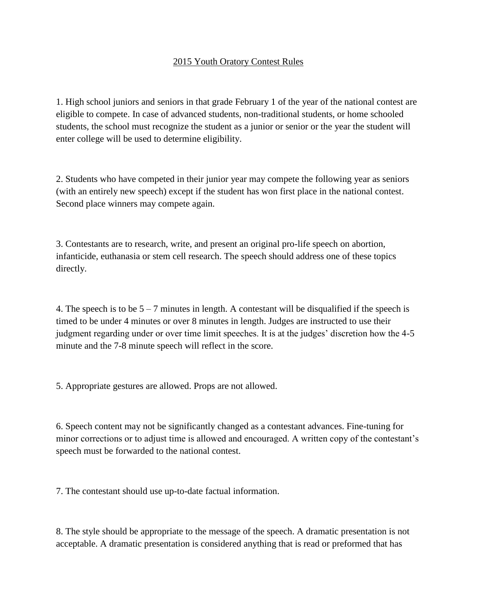## 2015 Youth Oratory Contest Rules

1. High school juniors and seniors in that grade February 1 of the year of the national contest are eligible to compete. In case of advanced students, non-traditional students, or home schooled students, the school must recognize the student as a junior or senior or the year the student will enter college will be used to determine eligibility.

2. Students who have competed in their junior year may compete the following year as seniors (with an entirely new speech) except if the student has won first place in the national contest. Second place winners may compete again.

3. Contestants are to research, write, and present an original pro-life speech on abortion, infanticide, euthanasia or stem cell research. The speech should address one of these topics directly.

4. The speech is to be  $5 - 7$  minutes in length. A contestant will be disqualified if the speech is timed to be under 4 minutes or over 8 minutes in length. Judges are instructed to use their judgment regarding under or over time limit speeches. It is at the judges' discretion how the 4-5 minute and the 7-8 minute speech will reflect in the score.

5. Appropriate gestures are allowed. Props are not allowed.

6. Speech content may not be significantly changed as a contestant advances. Fine-tuning for minor corrections or to adjust time is allowed and encouraged. A written copy of the contestant's speech must be forwarded to the national contest.

7. The contestant should use up-to-date factual information.

8. The style should be appropriate to the message of the speech. A dramatic presentation is not acceptable. A dramatic presentation is considered anything that is read or preformed that has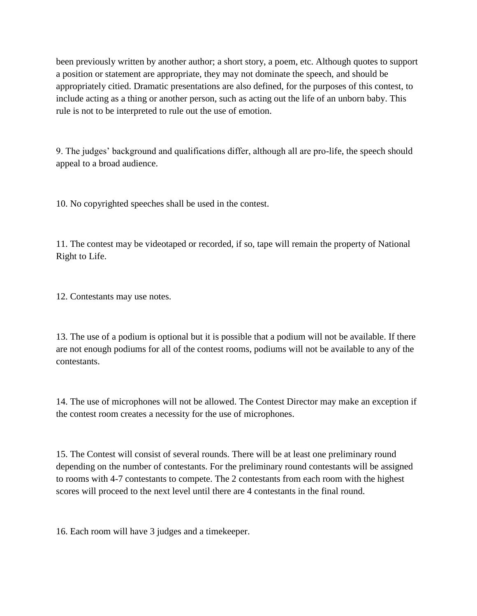been previously written by another author; a short story, a poem, etc. Although quotes to support a position or statement are appropriate, they may not dominate the speech, and should be appropriately citied. Dramatic presentations are also defined, for the purposes of this contest, to include acting as a thing or another person, such as acting out the life of an unborn baby. This rule is not to be interpreted to rule out the use of emotion.

9. The judges' background and qualifications differ, although all are pro-life, the speech should appeal to a broad audience.

10. No copyrighted speeches shall be used in the contest.

11. The contest may be videotaped or recorded, if so, tape will remain the property of National Right to Life.

12. Contestants may use notes.

13. The use of a podium is optional but it is possible that a podium will not be available. If there are not enough podiums for all of the contest rooms, podiums will not be available to any of the contestants.

14. The use of microphones will not be allowed. The Contest Director may make an exception if the contest room creates a necessity for the use of microphones.

15. The Contest will consist of several rounds. There will be at least one preliminary round depending on the number of contestants. For the preliminary round contestants will be assigned to rooms with 4-7 contestants to compete. The 2 contestants from each room with the highest scores will proceed to the next level until there are 4 contestants in the final round.

16. Each room will have 3 judges and a timekeeper.